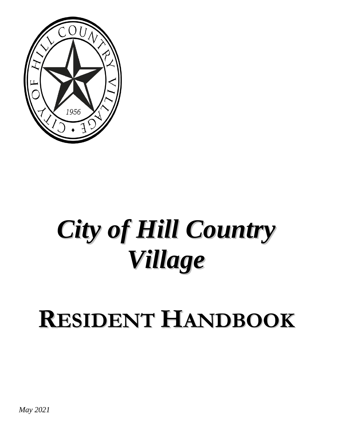

# *City of Hill Country Village*

# **RESIDENT HANDBOOK**

*May 2021*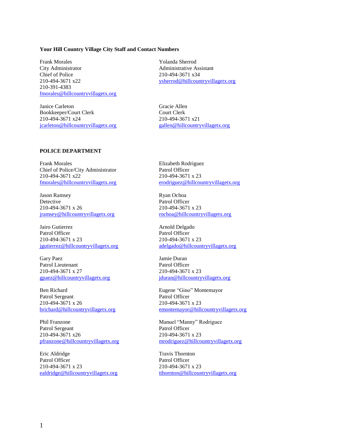#### **Your Hill Country Village City Staff and Contact Numbers**

Frank Morales The Yolanda Sherrod City Administrator **Administrative Assistant** Chief of Police 210-494-3671 x34 210-391-4383 [fmorales@hillcountryvillagetx.org](mailto:fmorales@hillcountryvillagetx.org)

Janice Carleton Gracie Allen Bookkeeper/Court Clerk Court Clerk 210-494-3671 x24 210-494-3671 x21 [jcarleton@hillcountryvillagetx.org](mailto:iurias@hillcountryvillagetx.org) [gallen@hillcountryvillagetx.org](mailto:jcarleton@hillcountryvillagetx.org)

210-494-3671 x22 [ysherrod@hillcountryvillagetx.org](mailto:ysherrod@hillcountryvillagetx.org)

#### **POLICE DEPARTMENT**

Frank Morales Elizabeth Rodriguez Chief of Police/City Administrator Patrol Officer 210-494-3671 x22 210-494-3671 x 23

Jason Ramsey Ryan Ochoa Detective Patrol Officer 210-494-3671 x 26 210-494-3671 x 23 [jramsey@hillcountryvillagetx.org](mailto:jramsey@hillcountryvillagetx.org) [rochoa@hillcountryvillagetx.org](mailto:gfox@hillcountryvillagetx.org)

Jairo Gutierrez **Arnold Delgado** Patrol Officer Patrol Officer 210-494-3671 x 23 210-494-3671 x 23 [jgutierrez@hillcountryvillagetx.org](mailto:rochoa@hillcountryvillagetx.org) [adelgado@hillcountryvillagetx.org](mailto:fcordova@hillcountryvillagetx.org)

Gary Paez Jamie Duran Patrol Lieutenant Patrol Officer 210-494-3671 x 27 210-494-3671 x 23

Ben Richard Eugene "Gino" Montemayor Patrol Sergeant Patrol Officer 210-494-3671 x 26<br>
<u>brichard@hillcountryvillagetx.org</u> emontemayor@hill

Phil Franzone Manuel "Manny" Rodriguez Patrol Sergeant Patrol Officer 210-494-3671 x26 210-494-3671 x 23

Eric Aldridge Travis Thornton Patrol Officer Patrol Officer 210-494-3671 x 23 210-494-3671 x 23 [ealdridge@hillcountryvillagetx.org](mailto:ealdridge@hillcountryvillagetx.org) [tthornton@hillcountryvillagetx.org](mailto:tthornton@hillcountryvillagetx.org)

[fmorales@hillcountryvillagetx.org](mailto:fmorales@hillcountryvillagetx.org) [erodriguez@hillcountryvillagetx.org](mailto:gallen@hillcountryvillagetx.org)

[gpaez@hillcountryvillagetx.org](mailto:jramsey@hillcountryvillagetx.org) [jduran@hillcountryvillagetx.org](mailto:gpaez@hillcountryvillagetx.org)

[emontemayor@hillcountryvillagetx.org](mailto:brichard@hillcountryvillagetx.org)

[pfranzone@hillcountryvillagetx.org](mailto:pfranzone@hillcountryvillagetx.org) [mrodriguez@hillcountryvillagetx.org](mailto:ealdridge@hillcountryvillagetx.org)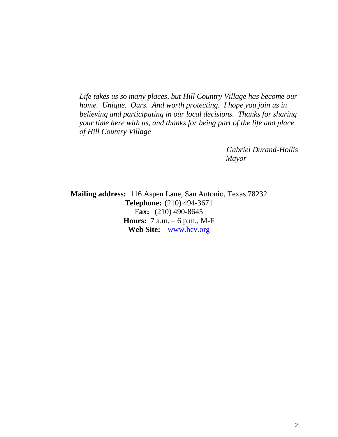*Life takes us so many places, but Hill Country Village has become our home. Unique. Ours. And worth protecting. I hope you join us in believing and participating in our local decisions. Thanks for sharing your time here with us, and thanks for being part of the life and place of Hill Country Village*

> *Gabriel Durand-Hollis Mayor*

**Mailing address:** 116 Aspen Lane, San Antonio, Texas 78232 **Telephone:** (210) 494-3671 F**ax:** (210) 490-8645 **Hours:** 7 a.m. – 6 p.m., M-F **Web Site:** [www.hcv.org](http://www.hcv.org/)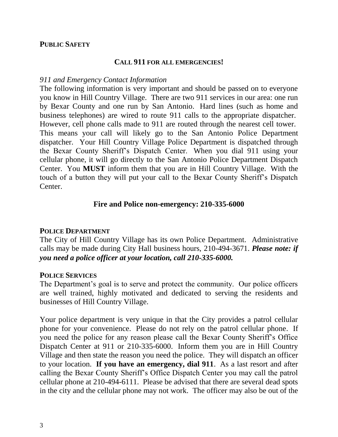#### **PUBLIC SAFETY**

#### **CALL 911 FOR ALL EMERGENCIES!**

#### *911 and Emergency Contact Information*

The following information is very important and should be passed on to everyone you know in Hill Country Village. There are two 911 services in our area: one run by Bexar County and one run by San Antonio. Hard lines (such as home and business telephones) are wired to route 911 calls to the appropriate dispatcher. However, cell phone calls made to 911 are routed through the nearest cell tower. This means your call will likely go to the San Antonio Police Department dispatcher. Your Hill Country Village Police Department is dispatched through the Bexar County Sheriff's Dispatch Center. When you dial 911 using your cellular phone, it will go directly to the San Antonio Police Department Dispatch Center. You **MUST** inform them that you are in Hill Country Village. With the touch of a button they will put your call to the Bexar County Sheriff's Dispatch Center.

#### **Fire and Police non-emergency: 210-335-6000**

#### **POLICE DEPARTMENT**

The City of Hill Country Village has its own Police Department. Administrative calls may be made during City Hall business hours, 210-494-3671. *Please note: if you need a police officer at your location, call 210-335-6000.* 

#### **POLICE SERVICES**

The Department's goal is to serve and protect the community. Our police officers are well trained, highly motivated and dedicated to serving the residents and businesses of Hill Country Village.

Your police department is very unique in that the City provides a patrol cellular phone for your convenience. Please do not rely on the patrol cellular phone. If you need the police for any reason please call the Bexar County Sheriff's Office Dispatch Center at 911 or 210-335-6000. Inform them you are in Hill Country Village and then state the reason you need the police. They will dispatch an officer to your location. **If you have an emergency, dial 911**. As a last resort and after calling the Bexar County Sheriff's Office Dispatch Center you may call the patrol cellular phone at 210-494-6111. Please be advised that there are several dead spots in the city and the cellular phone may not work. The officer may also be out of the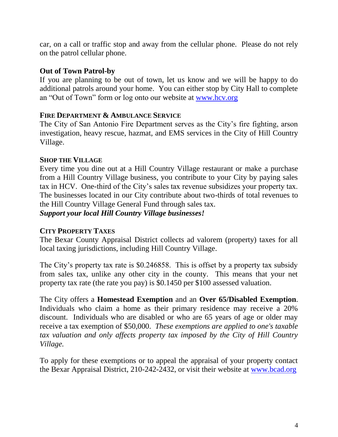car, on a call or traffic stop and away from the cellular phone. Please do not rely on the patrol cellular phone.

#### **Out of Town Patrol-by**

If you are planning to be out of town, let us know and we will be happy to do additional patrols around your home. You can either stop by City Hall to complete an "Out of Town" form or log onto our website at [www.hcv.org](http://www.hcv.org/)

#### **FIRE DEPARTMENT & AMBULANCE SERVICE**

The City of San Antonio Fire Department serves as the City's fire fighting, arson investigation, heavy rescue, hazmat, and EMS services in the City of Hill Country Village.

#### **SHOP THE VILLAGE**

Every time you dine out at a Hill Country Village restaurant or make a purchase from a Hill Country Village business, you contribute to your City by paying sales tax in HCV. One-third of the City's sales tax revenue subsidizes your property tax. The businesses located in our City contribute about two-thirds of total revenues to the Hill Country Village General Fund through sales tax.

*Support your local Hill Country Village businesses!*

### **CITY PROPERTY TAXES**

The Bexar County Appraisal District collects ad valorem (property) taxes for all local taxing jurisdictions, including Hill Country Village.

The City's property tax rate is \$0.246858. This is offset by a property tax subsidy from sales tax, unlike any other city in the county. This means that your net property tax rate (the rate you pay) is \$0.1450 per \$100 assessed valuation.

The City offers a **Homestead Exemption** and an **Over 65/Disabled Exemption**. Individuals who claim a home as their primary residence may receive a 20% discount. Individuals who are disabled or who are 65 years of age or older may receive a tax exemption of \$50,000. *These exemptions are applied to one's taxable tax valuation and only affects property tax imposed by the City of Hill Country Village.* 

To apply for these exemptions or to appeal the appraisal of your property contact the Bexar Appraisal District, 210-242-2432, or visit their website at [www.bcad.org](http://www.bcad.org/)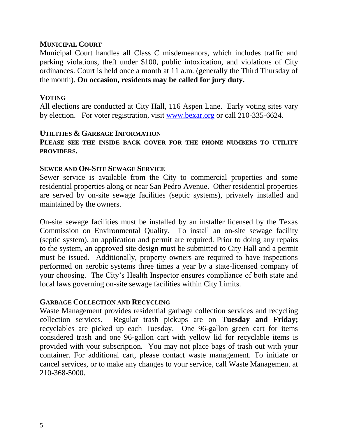#### **MUNICIPAL COURT**

Municipal Court handles all Class C misdemeanors, which includes traffic and parking violations, theft under \$100, public intoxication, and violations of City ordinances. Court is held once a month at 11 a.m. (generally the Third Thursday of the month). **On occasion, residents may be called for jury duty.**

#### **VOTING**

All elections are conducted at City Hall, 116 Aspen Lane. Early voting sites vary by election. For voter registration, visit [www.bexar.org](http://www.bexar.org/) or call 210-335-6624.

#### **UTILITIES & GARBAGE INFORMATION**

#### **PLEASE SEE THE INSIDE BACK COVER FOR THE PHONE NUMBERS TO UTILITY PROVIDERS.**

#### **SEWER AND ON-SITE SEWAGE SERVICE**

Sewer service is available from the City to commercial properties and some residential properties along or near San Pedro Avenue. Other residential properties are served by on-site sewage facilities (septic systems), privately installed and maintained by the owners.

On-site sewage facilities must be installed by an installer licensed by the Texas Commission on Environmental Quality. To install an on-site sewage facility (septic system), an application and permit are required. Prior to doing any repairs to the system, an approved site design must be submitted to City Hall and a permit must be issued. Additionally, property owners are required to have inspections performed on aerobic systems three times a year by a state-licensed company of your choosing. The City's Health Inspector ensures compliance of both state and local laws governing on-site sewage facilities within City Limits.

#### **GARBAGE COLLECTION AND RECYCLING**

Waste Management provides residential garbage collection services and recycling collection services. Regular trash pickups are on **Tuesday and Friday;**  recyclables are picked up each Tuesday. One 96-gallon green cart for items considered trash and one 96-gallon cart with yellow lid for recyclable items is provided with your subscription. You may not place bags of trash out with your container. For additional cart, please contact waste management. To initiate or cancel services, or to make any changes to your service, call Waste Management at 210-368-5000.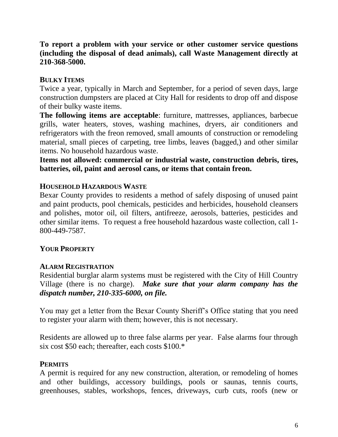#### **To report a problem with your service or other customer service questions (including the disposal of dead animals), call Waste Management directly at 210-368-5000.**

### **BULKY ITEMS**

Twice a year, typically in March and September, for a period of seven days, large construction dumpsters are placed at City Hall for residents to drop off and dispose of their bulky waste items.

**The following items are acceptable**: furniture, mattresses, appliances, barbecue grills, water heaters, stoves, washing machines, dryers, air conditioners and refrigerators with the freon removed, small amounts of construction or remodeling material, small pieces of carpeting, tree limbs, leaves (bagged,) and other similar items. No household hazardous waste.

**Items not allowed: commercial or industrial waste, construction debris, tires, batteries, oil, paint and aerosol cans, or items that contain freon.**

#### **HOUSEHOLD HAZARDOUS WASTE**

Bexar County provides to residents a method of safely disposing of unused paint and paint products, pool chemicals, pesticides and herbicides, household cleansers and polishes, motor oil, oil filters, antifreeze, aerosols, batteries, pesticides and other similar items. To request a free household hazardous waste collection, call 1- 800-449-7587.

#### **YOUR PROPERTY**

#### **ALARM REGISTRATION**

Residential burglar alarm systems must be registered with the City of Hill Country Village (there is no charge). *Make sure that your alarm company has the dispatch number, 210-335-6000, on file.*

You may get a letter from the Bexar County Sheriff's Office stating that you need to register your alarm with them; however, this is not necessary.

Residents are allowed up to three false alarms per year. False alarms four through six cost \$50 each; thereafter, each costs \$100.\*

#### **PERMITS**

A permit is required for any new construction, alteration, or remodeling of homes and other buildings, accessory buildings, pools or saunas, tennis courts, greenhouses, stables, workshops, fences, driveways, curb cuts, roofs (new or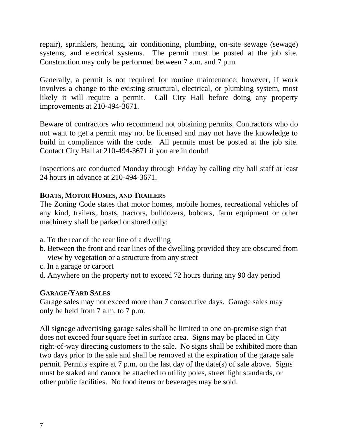repair), sprinklers, heating, air conditioning, plumbing, on-site sewage (sewage) systems, and electrical systems. The permit must be posted at the job site. Construction may only be performed between 7 a.m. and 7 p.m.

Generally, a permit is not required for routine maintenance; however, if work involves a change to the existing structural, electrical, or plumbing system, most likely it will require a permit. Call City Hall before doing any property improvements at 210-494-3671.

Beware of contractors who recommend not obtaining permits. Contractors who do not want to get a permit may not be licensed and may not have the knowledge to build in compliance with the code. All permits must be posted at the job site. Contact City Hall at 210-494-3671 if you are in doubt!

Inspections are conducted Monday through Friday by calling city hall staff at least 24 hours in advance at 210-494-3671.

#### **BOATS, MOTOR HOMES, AND TRAILERS**

The Zoning Code states that motor homes, mobile homes, recreational vehicles of any kind, trailers, boats, tractors, bulldozers, bobcats, farm equipment or other machinery shall be parked or stored only:

- a. To the rear of the rear line of a dwelling
- b. Between the front and rear lines of the dwelling provided they are obscured from view by vegetation or a structure from any street
- c. In a garage or carport
- d. Anywhere on the property not to exceed 72 hours during any 90 day period

#### **GARAGE/YARD SALES**

Garage sales may not exceed more than 7 consecutive days. Garage sales may only be held from 7 a.m. to 7 p.m.

All signage advertising garage sales shall be limited to one on-premise sign that does not exceed four square feet in surface area. Signs may be placed in City right-of-way directing customers to the sale. No signs shall be exhibited more than two days prior to the sale and shall be removed at the expiration of the garage sale permit. Permits expire at 7 p.m. on the last day of the date(s) of sale above. Signs must be staked and cannot be attached to utility poles, street light standards, or other public facilities. No food items or beverages may be sold.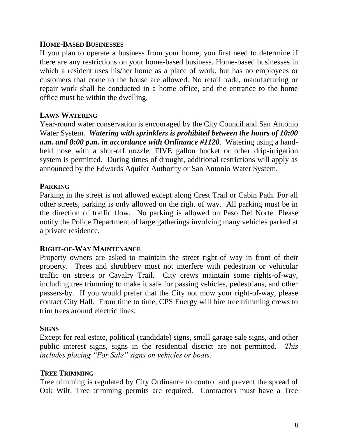#### **HOME-BASED BUSINESSES**

If you plan to operate a business from your home, you first need to determine if there are any restrictions on your home-based business. Home-based businesses in which a resident uses his/her home as a place of work, but has no employees or customers that come to the house are allowed. No retail trade, manufacturing or repair work shall be conducted in a home office, and the entrance to the home office must be within the dwelling.

#### **LAWN WATERING**

Year-round water conservation is encouraged by the City Council and San Antonio Water System. *Watering with sprinklers is prohibited between the hours of 10:00 a.m. and 8:00 p.m. in accordance with Ordinance #1120*. Watering using a handheld hose with a shut-off nozzle, FIVE gallon bucket or other drip-irrigation system is permitted. During times of drought, additional restrictions will apply as announced by the Edwards Aquifer Authority or San Antonio Water System.

#### **PARKING**

Parking in the street is not allowed except along Crest Trail or Cabin Path. For all other streets, parking is only allowed on the right of way. All parking must be in the direction of traffic flow. No parking is allowed on Paso Del Norte. Please notify the Police Department of large gatherings involving many vehicles parked at a private residence.

#### **RIGHT-OF-WAY MAINTENANCE**

Property owners are asked to maintain the street right-of way in front of their property. Trees and shrubbery must not interfere with pedestrian or vehicular traffic on streets or Cavalry Trail. City crews maintain some rights-of-way, including tree trimming to make it safe for passing vehicles, pedestrians, and other passers-by. If you would prefer that the City not mow your right-of-way, please contact City Hall. From time to time, CPS Energy will hire tree trimming crews to trim trees around electric lines.

#### **SIGNS**

Except for real estate, political (candidate) signs, small garage sale signs, and other public interest signs, signs in the residential district are not permitted. *This includes placing "For Sale" signs on vehicles or boats.*

#### **TREE TRIMMING**

Tree trimming is regulated by City Ordinance to control and prevent the spread of Oak Wilt. Tree trimming permits are required. Contractors must have a Tree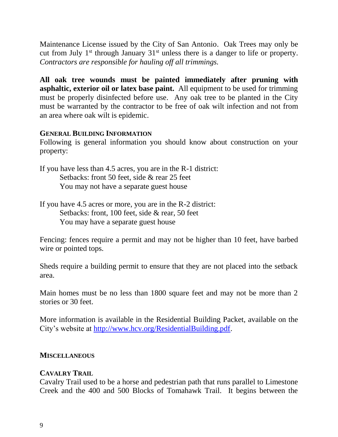Maintenance License issued by the City of San Antonio. Oak Trees may only be cut from July  $1<sup>st</sup>$  through January  $31<sup>st</sup>$  unless there is a danger to life or property. *Contractors are responsible for hauling off all trimmings.*

**All oak tree wounds must be painted immediately after pruning with asphaltic, exterior oil or latex base paint.** All equipment to be used for trimming must be properly disinfected before use. Any oak tree to be planted in the City must be warranted by the contractor to be free of oak wilt infection and not from an area where oak wilt is epidemic.

#### **GENERAL BUILDING INFORMATION**

Following is general information you should know about construction on your property:

- If you have less than 4.5 acres, you are in the R-1 district: Setbacks: front 50 feet, side & rear 25 feet You may not have a separate guest house
- If you have 4.5 acres or more, you are in the R-2 district: Setbacks: front, 100 feet, side & rear, 50 feet You may have a separate guest house

Fencing: fences require a permit and may not be higher than 10 feet, have barbed wire or pointed tops.

Sheds require a building permit to ensure that they are not placed into the setback area.

Main homes must be no less than 1800 square feet and may not be more than 2 stories or 30 feet.

More information is available in the Residential Building Packet, available on the City's website at [http://www.hcv.org/ResidentialBuilding.pdf.](http://www.hcv.org/ResidentialBuilding.pdf)

#### **MISCELLANEOUS**

#### **CAVALRY TRAIL**

Cavalry Trail used to be a horse and pedestrian path that runs parallel to Limestone Creek and the 400 and 500 Blocks of Tomahawk Trail. It begins between the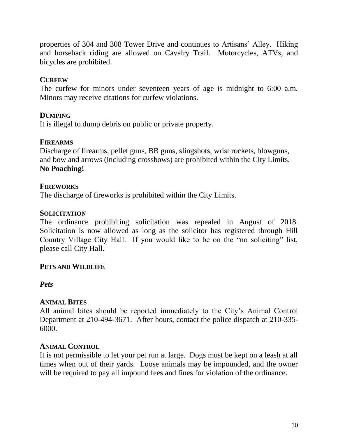properties of 304 and 308 Tower Drive and continues to Artisans' Alley. Hiking and horseback riding are allowed on Cavalry Trail. Motorcycles, ATVs, and bicycles are prohibited.

#### **CURFEW**

The curfew for minors under seventeen years of age is midnight to 6:00 a.m. Minors may receive citations for curfew violations.

#### **DUMPING**

It is illegal to dump debris on public or private property.

#### **FIREARMS**

Discharge of firearms, pellet guns, BB guns, slingshots, wrist rockets, blowguns, and bow and arrows (including crossbows) are prohibited within the City Limits. **No Poaching!**

#### **FIREWORKS**

The discharge of fireworks is prohibited within the City Limits.

#### **SOLICITATION**

The ordinance prohibiting solicitation was repealed in August of 2018. Solicitation is now allowed as long as the solicitor has registered through Hill Country Village City Hall. If you would like to be on the "no soliciting" list, please call City Hall.

#### **PETS AND WILDLIFE**

#### *Pets*

#### **ANIMAL BITES**

All animal bites should be reported immediately to the City's Animal Control Department at 210-494-3671. After hours, contact the police dispatch at 210-335- 6000.

#### **ANIMAL CONTROL**

It is not permissible to let your pet run at large. Dogs must be kept on a leash at all times when out of their yards. Loose animals may be impounded, and the owner will be required to pay all impound fees and fines for violation of the ordinance.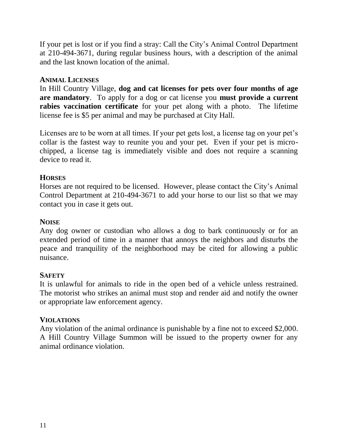If your pet is lost or if you find a stray: Call the City's Animal Control Department at 210-494-3671, during regular business hours, with a description of the animal and the last known location of the animal.

#### **ANIMAL LICENSES**

In Hill Country Village, **dog and cat licenses for pets over four months of age are mandatory**. To apply for a dog or cat license you **must provide a current rabies vaccination certificate** for your pet along with a photo. The lifetime license fee is \$5 per animal and may be purchased at City Hall.

Licenses are to be worn at all times. If your pet gets lost, a license tag on your pet's collar is the fastest way to reunite you and your pet. Even if your pet is microchipped, a license tag is immediately visible and does not require a scanning device to read it.

#### **HORSES**

Horses are not required to be licensed. However, please contact the City's Animal Control Department at 210-494-3671 to add your horse to our list so that we may contact you in case it gets out.

#### **NOISE**

Any dog owner or custodian who allows a dog to bark continuously or for an extended period of time in a manner that annoys the neighbors and disturbs the peace and tranquility of the neighborhood may be cited for allowing a public nuisance.

#### **SAFETY**

It is unlawful for animals to ride in the open bed of a vehicle unless restrained. The motorist who strikes an animal must stop and render aid and notify the owner or appropriate law enforcement agency.

#### **VIOLATIONS**

Any violation of the animal ordinance is punishable by a fine not to exceed \$2,000. A Hill Country Village Summon will be issued to the property owner for any animal ordinance violation.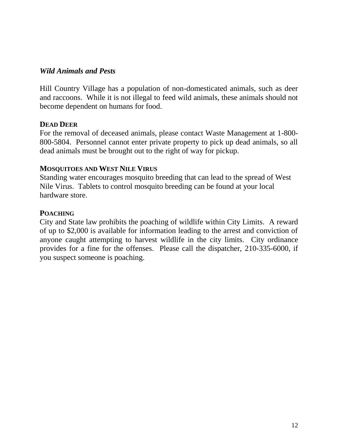#### *Wild Animals and Pests*

Hill Country Village has a population of non-domesticated animals, such as deer and raccoons. While it is not illegal to feed wild animals, these animals should not become dependent on humans for food.

#### **DEAD DEER**

For the removal of deceased animals, please contact Waste Management at 1-800- 800-5804. Personnel cannot enter private property to pick up dead animals, so all dead animals must be brought out to the right of way for pickup.

#### **MOSQUITOES AND WEST NILE VIRUS**

Standing water encourages mosquito breeding that can lead to the spread of West Nile Virus. Tablets to control mosquito breeding can be found at your local hardware store.

#### **POACHING**

City and State law prohibits the poaching of wildlife within City Limits. A reward of up to \$2,000 is available for information leading to the arrest and conviction of anyone caught attempting to harvest wildlife in the city limits. City ordinance provides for a fine for the offenses. Please call the dispatcher, 210-335-6000, if you suspect someone is poaching.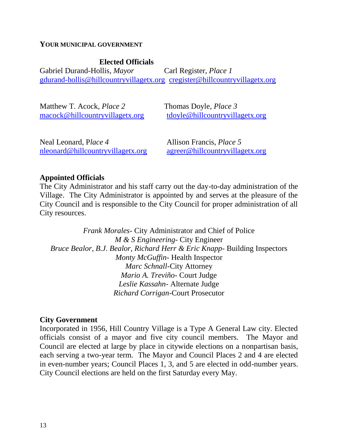#### **YOUR MUNICIPAL GOVERNMENT**

**Elected Officials** Gabriel Durand-Hollis, *Mayor* Carl Register, *Place 1* [gdurand-hollis@hillcountryvillagetx.org](mailto:gdurand-hollis@hillcountryvillagetx.org) [cregister@hillcountryvillagetx.org](mailto:cregister@hillcountryvillagetx.org)

| Matthew T. Acock, <i>Place 2</i> | Thomas Doyle, <i>Place</i> 3    |
|----------------------------------|---------------------------------|
| macock@hillcountryvillagetx.org  | tdoyle@hillcountryvillagetx.org |
|                                  |                                 |

Neal Leonard, P*lace 4* Allison Francis, *Place 5*  [nleonard@hillcountryvillagetx.org](mailto:tdoyle@hillcountryvillagetx.org) [agreer@hillcountryvillagetx.org](mailto:nleonard@hillcountryvillagetx.org)

#### **Appointed Officials**

The City Administrator and his staff carry out the day-to-day administration of the Village. The City Administrator is appointed by and serves at the pleasure of the City Council and is responsible to the City Council for proper administration of all City resources.

*Frank Morales*- City Administrator and Chief of Police *M & S Engineering*- City Engineer *Bruce Bealor, B.J. Bealor, Richard Herr & Eric Knapp*- Building Inspectors *Monty McGuffin*- Health Inspector *Marc Schnall*-City Attorney *Mario A. Treviño*- Court Judge *Leslie Kassahn*- Alternate Judge *Richard Corrigan*-Court Prosecutor

#### **City Government**

Incorporated in 1956, Hill Country Village is a Type A General Law city. Elected officials consist of a mayor and five city council members. The Mayor and Council are elected at large by place in citywide elections on a nonpartisan basis, each serving a two-year term. The Mayor and Council Places 2 and 4 are elected in even-number years; Council Places 1, 3, and 5 are elected in odd-number years. City Council elections are held on the first Saturday every May.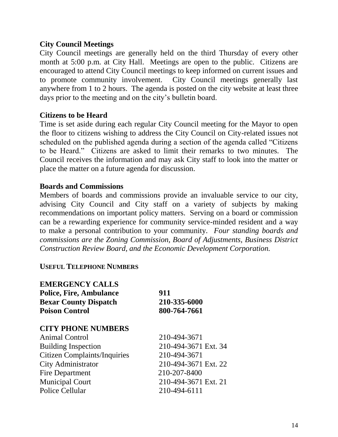#### **City Council Meetings**

City Council meetings are generally held on the third Thursday of every other month at 5:00 p.m. at City Hall. Meetings are open to the public. Citizens are encouraged to attend City Council meetings to keep informed on current issues and to promote community involvement. City Council meetings generally last anywhere from 1 to 2 hours. The agenda is posted on the city website at least three days prior to the meeting and on the city's bulletin board.

#### **Citizens to be Heard**

Time is set aside during each regular City Council meeting for the Mayor to open the floor to citizens wishing to address the City Council on City-related issues not scheduled on the published agenda during a section of the agenda called "Citizens to be Heard." Citizens are asked to limit their remarks to two minutes. The Council receives the information and may ask City staff to look into the matter or place the matter on a future agenda for discussion.

#### **Boards and Commissions**

Members of boards and commissions provide an invaluable service to our city, advising City Council and City staff on a variety of subjects by making recommendations on important policy matters. Serving on a board or commission can be a rewarding experience for community service-minded resident and a way to make a personal contribution to your community. *Four standing boards and commissions are the Zoning Commission, Board of Adjustments, Business District Construction Review Board, and the Economic Development Corporation.* 

#### **USEFUL TELEPHONE NUMBERS**

**EMERGENCY CALLS** 

| 911                  |  |
|----------------------|--|
| 210-335-6000         |  |
| 800-764-7661         |  |
|                      |  |
| 210-494-3671         |  |
| 210-494-3671 Ext. 34 |  |
| 210-494-3671         |  |
| 210-494-3671 Ext. 22 |  |
| 210-207-8400         |  |
| 210-494-3671 Ext. 21 |  |
| 210-494-6111         |  |
|                      |  |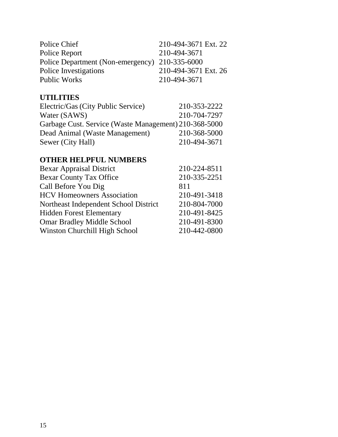| Police Chief                                   | 210-494-3671 Ext. 22 |
|------------------------------------------------|----------------------|
| Police Report                                  | 210-494-3671         |
| Police Department (Non-emergency) 210-335-6000 |                      |
| Police Investigations                          | 210-494-3671 Ext. 26 |
| Public Works                                   | 210-494-3671         |

#### **UTILITIES**

| Electric/Gas (City Public Service)                    | 210-353-2222 |
|-------------------------------------------------------|--------------|
| Water (SAWS)                                          | 210-704-7297 |
| Garbage Cust. Service (Waste Management) 210-368-5000 |              |
| Dead Animal (Waste Management)                        | 210-368-5000 |
| Sewer (City Hall)                                     | 210-494-3671 |

## **OTHER HELPFUL NUMBERS**

| <b>Bexar Appraisal District</b>       | 210-224-8511 |
|---------------------------------------|--------------|
| <b>Bexar County Tax Office</b>        | 210-335-2251 |
| Call Before You Dig                   | 811          |
| <b>HCV Homeowners Association</b>     | 210-491-3418 |
| Northeast Independent School District | 210-804-7000 |
| <b>Hidden Forest Elementary</b>       | 210-491-8425 |
| <b>Omar Bradley Middle School</b>     | 210-491-8300 |
| Winston Churchill High School         | 210-442-0800 |